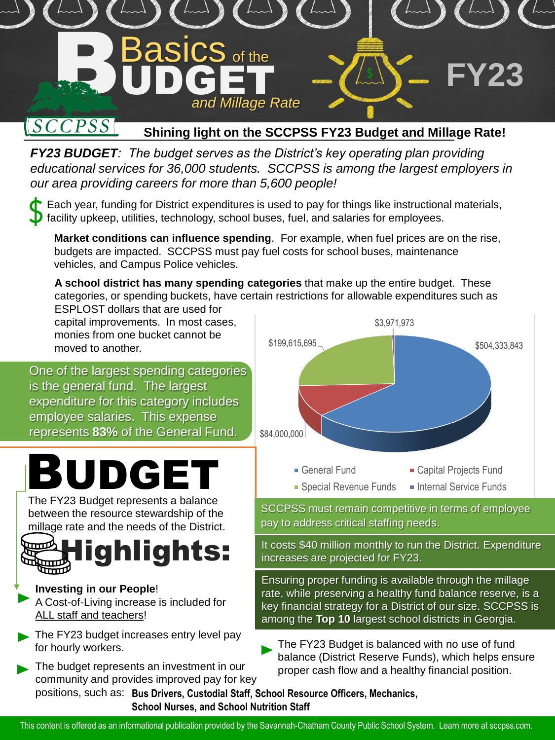

#### $[SCCPSS]$ **Shining light on the SCCPSS FY23 Budget and Millage Rate!**

*FY23 BUDGET: The budget serves as the District's key operating plan providing educational services for 36,000 students. SCCPSS is among the largest employers in our area providing careers for more than 5,600 people!*

Each year, funding for District expenditures is used to pay for things like instructional materials,  $\overline{D}$  facility upkeep, utilities, technology, school buses, fuel, and salaries for employees.

**Market conditions can influence spending**. For example, when fuel prices are on the rise, budgets are impacted. SCCPSS must pay fuel costs for school buses, maintenance vehicles, and Campus Police vehicles.

**A school district has many spending categories** that make up the entire budget. These categories, or spending buckets, have certain restrictions for allowable expenditures such as ESPLOST dollars that are used for

capital improvements. In most cases, monies from one bucket cannot be

One of the largest spending categories is the general fund. The largest expenditure for this category includes employee salaries. This expense represents **83%** of the General Fund.

# BUDGET

The FY23 Budget represents a balance between the resource stewardship of the millage rate and the needs of the District.



### **Investing in our People**!

- A Cost-of-Living increase is included for ALL staff and teachers!
- The FY23 budget increases entry level pay for hourly workers.
- The budget represents an investment in our community and provides improved pay for key



SCCPSS must remain competitive in terms of employee pay to address critical staffing needs.

**Highlights:** It costs \$40 million monthly to run the District. Expenditure<br>
Intereases are projected for FY23. increases are projected for FY23.

Ensuring proper funding is available through the millage rate, while preserving a healthy fund balance reserve, is a key financial strategy for a District of our size. SCCPSS is among the **Top 10** largest school districts in Georgia.

The FY23 Budget is balanced with no use of fund balance (District Reserve Funds), which helps ensure proper cash flow and a healthy financial position.

positions, such as: **Bus Drivers, Custodial Staff, School Resource Officers, Mechanics, School Nurses, and School Nutrition Staff**